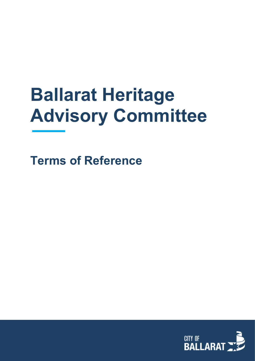# **Ballarat Heritage Advisory Committee**

**Terms of Reference**

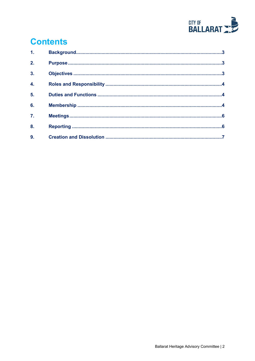

# **Contents**

| 1 <sub>1</sub>   |  |
|------------------|--|
| 2.               |  |
| $\overline{3}$ . |  |
| $\overline{4}$ . |  |
| 5.               |  |
| 6.               |  |
| 7 <sub>1</sub>   |  |
| 8.               |  |
| 9.               |  |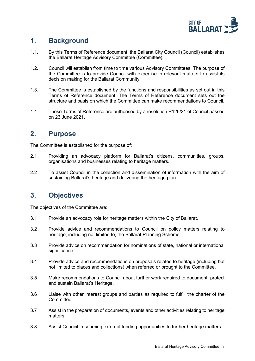

# <span id="page-2-0"></span>**1. Background**

- 1.1. By this Terms of Reference document, the Ballarat City Council (Council) establishes the Ballarat Heritage Advisory Committee (Committee).
- 1.2. Council will establish from time to time various Advisory Committees. The purpose of the Committee is to provide Council with expertise in relevant matters to assist its decision making for the Ballarat Community.
- 1.3. The Committee is established by the functions and responsibilities as set out in this Terms of Reference document. The Terms of Reference document sets out the structure and basis on which the Committee can make recommendations to Council.
- 1.4. These Terms of Reference are authorised by a resolution R126/21 of Council passed on 23 June 2021.

### <span id="page-2-1"></span>**2. Purpose**

The Committee is established for the purpose of:

- 2.1 Providing an advocacy platform for Ballarat's citizens, communities, groups, organisations and businesses relating to heritage matters.
- 2.2 To assist Council in the collection and dissemination of information with the aim of sustaining Ballarat's heritage and delivering the heritage plan.

# <span id="page-2-2"></span>**3. Objectives**

The objectives of the Committee are:

- 3.1 Provide an advocacy role for heritage matters within the City of Ballarat.
- 3.2 Provide advice and recommendations to Council on policy matters relating to heritage, including not limited to, the Ballarat Planning Scheme.
- 3.3 Provide advice on recommendation for nominations of state, national or international significance.
- 3.4 Provide advice and recommendations on proposals related to heritage (including but not limited to places and collections) when referred or brought to the Committee.
- 3.5 Make recommendations to Council about further work required to document, protect and sustain Ballarat's Heritage.
- 3.6 Liaise with other interest groups and parties as required to fulfill the charter of the **Committee**
- 3.7 Assist in the preparation of documents, events and other activities relating to heritage matters.
- 3.8 Assist Council in sourcing external funding opportunities to further heritage matters.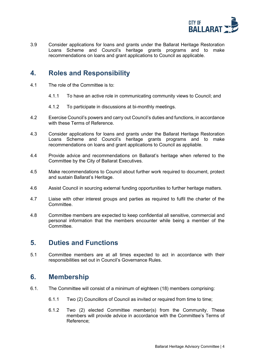

3.9 Consider applications for loans and grants under the Ballarat Heritage Restoration Loans Scheme and Council's heritage grants programs and to make recommendations on loans and grant applications to Council as applicable.

## <span id="page-3-0"></span>**4. Roles and Responsibility**

- 4.1 The role of the Committee is to:
	- 4.1.1 To have an active role in communicating community views to Council; and
	- 4.1.2 To participate in discussions at bi-monthly meetings.
- 4.2 Exercise Council's powers and carry out Council's duties and functions, in accordance with these Terms of Reference
- 4.3 Consider applications for loans and grants under the Ballarat Heritage Restoration Loans Scheme and Council's heritage grants programs and to make recommendations on loans and grant applications to Council as appliable.
- 4.4 Provide advice and recommendations on Ballarat's heritage when referred to the Committee by the City of Ballarat Executives.
- 4.5 Make recommendations to Council about further work required to document, protect and sustain Ballarat's Heritage.
- 4.6 Assist Council in sourcing external funding opportunities to further heritage matters.
- 4.7 Liaise with other interest groups and parties as required to fulfil the charter of the Committee.
- 4.8 Committee members are expected to keep confidential all sensitive, commercial and personal information that the members encounter while being a member of the Committee.

#### <span id="page-3-1"></span>**5. Duties and Functions**

5.1 Committee members are at all times expected to act in accordance with their responsibilities set out in Council's Governance Rules.

#### <span id="page-3-2"></span>**6. Membership**

- 6.1. The Committee will consist of a minimum of eighteen (18) members comprising:
	- 6.1.1 Two (2) Councillors of Council as invited or required from time to time;
	- 6.1.2 Two (2) elected Committee member(s) from the Community. These members will provide advice in accordance with the Committee's Terms of Reference;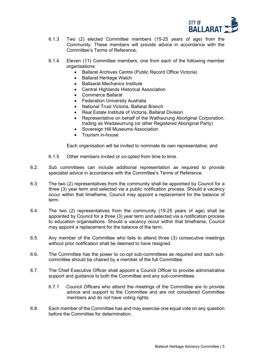

- 6.1.3 Two (2) elected Committee members (15-25 years of age) from the Community. These members will provide advice in accordance with the Committee's Terms of Reference;
- 6.1.4 Eleven (11) Committee members, one from each of the following member organisations:
	- Ballarat Archives Centre (Public Record Office Victoria)
	- Ballarat Heritage Watch
	- Ballaarat Mechanics Institute
	- Central Highlands Historical Association
	- Commerce Ballarat
	- **Federation University Australia**
	- National Trust Victoria, Ballarat Branch
	- Real Estate Institute of Victoria, Ballarat Division
	- Representative on behalf of the Wathaurung Aboriginal Corporation, trading as Wadawurrung (or other Registered Aboriginal Party)
	- Sovereign Hill Museums Association
	- Tourism in-house

Each organisation will be invited to nominate its own representative; and

- 6.1.5 Other members invited or co-opted from time to time.
- 6.2. Sub committees can include additional representation as required to provide specialist advice in accordance with the Committee's Terms of Reference.
- 6.3. The two (2) representatives from the community shall be appointed by Council for a three (3) year term and selected via a public notification process. Should a vacancy occur within that timeframe, Council may appoint a replacement for the balance of term.
- 6.4. The two (2) representatives from the community (15-25 years of age) shall be appointed by Council for a three (3) year term and selected via a notification process to education organisations. Should a vacancy occur within that timeframe, Council may appoint a replacement for the balance of the term.
- 6.5. Any member of the Committee who fails to attend three (3) consecutive meetings without prior notification shall be deemed to have resigned.
- 6.6. The Committee has the power to co-opt sub-committees as required and each subcommittee should be chaired by a member of the full Committee.
- 6.7. The Chief Executive Officer shall appoint a Council Officer to provide administrative support and guidance to both the Committee and any sub-committees.
	- 6.7.1 Council Officers who attend the meetings of the Committee are to provide advice and support to the Committee and are not considered Committee members and do not have voting rights.
- 6.8. Each member of the Committee has and may exercise one equal vote on any question before the Committee for determination.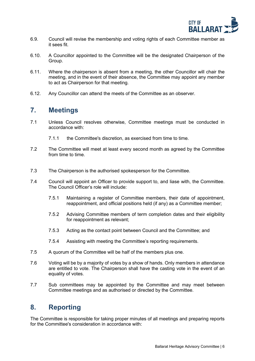

- 6.9. Council will revise the membership and voting rights of each Committee member as it sees fit.
- 6.10. A Councillor appointed to the Committee will be the designated Chairperson of the Group.
- 6.11. Where the chairperson is absent from a meeting, the other Councillor will chair the meeting, and in the event of their absence, the Committee may appoint any member to act as Chairperson for that meeting.
- 6.12. Any Councillor can attend the meets of the Committee as an observer.

#### <span id="page-5-0"></span>**7. Meetings**

- 7.1 Unless Council resolves otherwise, Committee meetings must be conducted in accordance with:
	- 7.1.1 the Committee's discretion, as exercised from time to time.
- 7.2 The Committee will meet at least every second month as agreed by the Committee from time to time.
- 7.3 The Chairperson is the authorised spokesperson for the Committee.
- 7.4 Council will appoint an Officer to provide support to, and liase with, the Committee. The Council Officer's role will include:
	- 7.5.1 Maintaining a register of Committee members, their date of appointment, reappointment, and official positions held (if any) as a Committee member;
	- 7.5.2 Advising Committee members of term completion dates and their eligibility for reappointment as relevant;
	- 7.5.3 Acting as the contact point between Council and the Committee; and
	- 7.5.4 Assisting with meeting the Committee's reporting requirements.
- 7.5 A quorum of the Committee will be half of the members plus one.
- 7.6 Voting will be by a majority of votes by a show of hands. Only members in attendance are entitled to vote. The Chairperson shall have the casting vote in the event of an equality of votes.
- 7.7 Sub committees may be appointed by the Committee and may meet between Committee meetings and as authorised or directed by the Committee.

#### <span id="page-5-1"></span>**8. Reporting**

The Committee is responsible for taking proper minutes of all meetings and preparing reports for the Committee's consideration in accordance with: